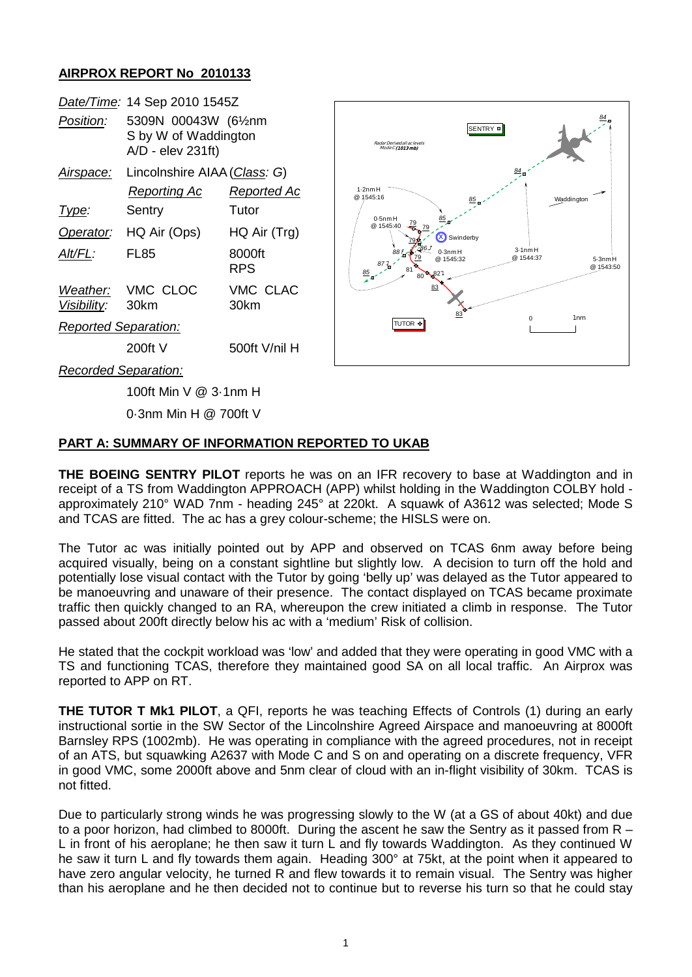## **AIRPROX REPORT No 2010133**

|                             | Date/Time: 14 Sep 2010 1545Z                                      |                      |                                                 |                           |                           |
|-----------------------------|-------------------------------------------------------------------|----------------------|-------------------------------------------------|---------------------------|---------------------------|
| Position:                   | 5309N 00043W (61/2nm<br>S by W of Waddington<br>A/D - elev 231ft) |                      | Radar Derived all ac levels<br>Mode C (1013 mb) | SENTRY <sup>®</sup>       |                           |
| Airspace:                   | Lincolnshire AIAA (Class: G)                                      |                      |                                                 |                           |                           |
|                             | <b>Reporting Ac</b>                                               | Reported Ac          | $1.2$ nm $H$<br>@ 1545:16                       |                           | Waddington                |
| Type:                       | Sentry                                                            | Tutor                | $0.5$ nm $H$                                    |                           |                           |
| Operator:                   | HQ Air (Ops)                                                      | HQ Air (Trg)         | @ 1545:40<br>79<br>Swinderby                    |                           |                           |
| Alt/FL:                     | <b>FL85</b>                                                       | 8000ft<br><b>RPS</b> | $0.3$ nm $H$<br>@ 1545:32<br>85<br><b>R 827</b> | $3.1$ nm $H$<br>@ 1544:37 | $5-3$ nm $H$<br>@ 1543:50 |
| Weather:<br>Visibility:     | VMC CLOC<br>30km                                                  | VMC CLAC<br>30km     | 83<br>83                                        |                           |                           |
| <b>Reported Separation:</b> |                                                                   |                      | TUTOR ®                                         | $\Omega$                  | 1 <sub>nm</sub>           |
|                             | $200ft$ V                                                         | 500ft V/nil H        |                                                 |                           |                           |
| <b>Recorded Separation:</b> |                                                                   |                      |                                                 |                           |                           |

100ft Min V @ 3·1nm H

0·3nm Min H @ 700ft V

## **PART A: SUMMARY OF INFORMATION REPORTED TO UKAB**

**THE BOEING SENTRY PILOT** reports he was on an IFR recovery to base at Waddington and in receipt of a TS from Waddington APPROACH (APP) whilst holding in the Waddington COLBY hold approximately 210° WAD 7nm - heading 245° at 220kt. A squawk of A3612 was selected; Mode S and TCAS are fitted. The ac has a grey colour-scheme; the HISLS were on.

The Tutor ac was initially pointed out by APP and observed on TCAS 6nm away before being acquired visually, being on a constant sightline but slightly low. A decision to turn off the hold and potentially lose visual contact with the Tutor by going 'belly up' was delayed as the Tutor appeared to be manoeuvring and unaware of their presence. The contact displayed on TCAS became proximate traffic then quickly changed to an RA, whereupon the crew initiated a climb in response. The Tutor passed about 200ft directly below his ac with a 'medium' Risk of collision.

He stated that the cockpit workload was 'low' and added that they were operating in good VMC with a TS and functioning TCAS, therefore they maintained good SA on all local traffic. An Airprox was reported to APP on RT.

**THE TUTOR T Mk1 PILOT**, a QFI, reports he was teaching Effects of Controls (1) during an early instructional sortie in the SW Sector of the Lincolnshire Agreed Airspace and manoeuvring at 8000ft Barnsley RPS (1002mb). He was operating in compliance with the agreed procedures, not in receipt of an ATS, but squawking A2637 with Mode C and S on and operating on a discrete frequency, VFR in good VMC, some 2000ft above and 5nm clear of cloud with an in-flight visibility of 30km. TCAS is not fitted.

Due to particularly strong winds he was progressing slowly to the W (at a GS of about 40kt) and due to a poor horizon, had climbed to 8000ft. During the ascent he saw the Sentry as it passed from R – L in front of his aeroplane; he then saw it turn L and fly towards Waddington. As they continued W he saw it turn L and fly towards them again. Heading 300° at 75kt, at the point when it appeared to have zero angular velocity, he turned R and flew towards it to remain visual. The Sentry was higher than his aeroplane and he then decided not to continue but to reverse his turn so that he could stay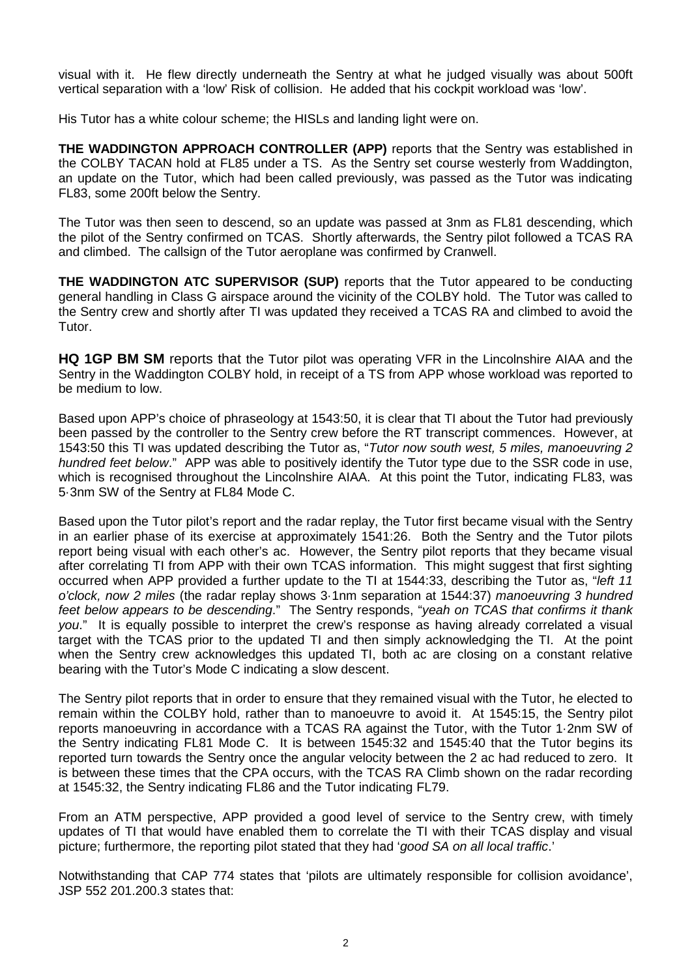visual with it. He flew directly underneath the Sentry at what he judged visually was about 500ft vertical separation with a 'low' Risk of collision. He added that his cockpit workload was 'low'.

His Tutor has a white colour scheme; the HISLs and landing light were on.

**THE WADDINGTON APPROACH CONTROLLER (APP)** reports that the Sentry was established in the COLBY TACAN hold at FL85 under a TS. As the Sentry set course westerly from Waddington, an update on the Tutor, which had been called previously, was passed as the Tutor was indicating FL83, some 200ft below the Sentry.

The Tutor was then seen to descend, so an update was passed at 3nm as FL81 descending, which the pilot of the Sentry confirmed on TCAS. Shortly afterwards, the Sentry pilot followed a TCAS RA and climbed. The callsign of the Tutor aeroplane was confirmed by Cranwell.

**THE WADDINGTON ATC SUPERVISOR (SUP)** reports that the Tutor appeared to be conducting general handling in Class G airspace around the vicinity of the COLBY hold. The Tutor was called to the Sentry crew and shortly after TI was updated they received a TCAS RA and climbed to avoid the Tutor.

**HQ 1GP BM SM** reports that the Tutor pilot was operating VFR in the Lincolnshire AIAA and the Sentry in the Waddington COLBY hold, in receipt of a TS from APP whose workload was reported to be medium to low.

Based upon APP's choice of phraseology at 1543:50, it is clear that TI about the Tutor had previously been passed by the controller to the Sentry crew before the RT transcript commences. However, at 1543:50 this TI was updated describing the Tutor as, "*Tutor now south west, 5 miles, manoeuvring 2 hundred feet below*." APP was able to positively identify the Tutor type due to the SSR code in use, which is recognised throughout the Lincolnshire AIAA. At this point the Tutor, indicating FL83, was 5·3nm SW of the Sentry at FL84 Mode C.

Based upon the Tutor pilot's report and the radar replay, the Tutor first became visual with the Sentry in an earlier phase of its exercise at approximately 1541:26. Both the Sentry and the Tutor pilots report being visual with each other's ac. However, the Sentry pilot reports that they became visual after correlating TI from APP with their own TCAS information. This might suggest that first sighting occurred when APP provided a further update to the TI at 1544:33, describing the Tutor as, "*left 11 o'clock, now 2 miles* (the radar replay shows 3·1nm separation at 1544:37) *manoeuvring 3 hundred feet below appears to be descending*." The Sentry responds, "*yeah on TCAS that confirms it thank you*." It is equally possible to interpret the crew's response as having already correlated a visual target with the TCAS prior to the updated TI and then simply acknowledging the TI. At the point when the Sentry crew acknowledges this updated TI, both ac are closing on a constant relative bearing with the Tutor's Mode C indicating a slow descent.

The Sentry pilot reports that in order to ensure that they remained visual with the Tutor, he elected to remain within the COLBY hold, rather than to manoeuvre to avoid it. At 1545:15, the Sentry pilot reports manoeuvring in accordance with a TCAS RA against the Tutor, with the Tutor 1·2nm SW of the Sentry indicating FL81 Mode C. It is between 1545:32 and 1545:40 that the Tutor begins its reported turn towards the Sentry once the angular velocity between the 2 ac had reduced to zero. It is between these times that the CPA occurs, with the TCAS RA Climb shown on the radar recording at 1545:32, the Sentry indicating FL86 and the Tutor indicating FL79.

From an ATM perspective, APP provided a good level of service to the Sentry crew, with timely updates of TI that would have enabled them to correlate the TI with their TCAS display and visual picture; furthermore, the reporting pilot stated that they had '*good SA on all local traffic*.'

Notwithstanding that CAP 774 states that 'pilots are ultimately responsible for collision avoidance', JSP 552 201.200.3 states that: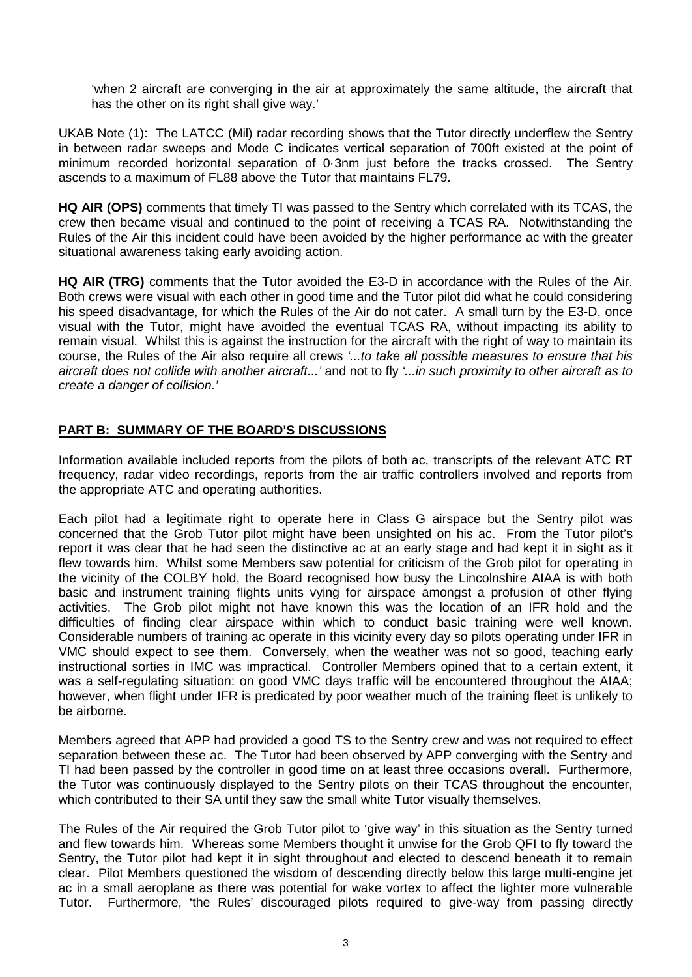'when 2 aircraft are converging in the air at approximately the same altitude, the aircraft that has the other on its right shall give way.'

UKAB Note (1): The LATCC (Mil) radar recording shows that the Tutor directly underflew the Sentry in between radar sweeps and Mode C indicates vertical separation of 700ft existed at the point of minimum recorded horizontal separation of 0·3nm just before the tracks crossed. The Sentry ascends to a maximum of FL88 above the Tutor that maintains FL79.

**HQ AIR (OPS)** comments that timely TI was passed to the Sentry which correlated with its TCAS, the crew then became visual and continued to the point of receiving a TCAS RA. Notwithstanding the Rules of the Air this incident could have been avoided by the higher performance ac with the greater situational awareness taking early avoiding action.

**HQ AIR (TRG)** comments that the Tutor avoided the E3-D in accordance with the Rules of the Air. Both crews were visual with each other in good time and the Tutor pilot did what he could considering his speed disadvantage, for which the Rules of the Air do not cater. A small turn by the E3-D, once visual with the Tutor, might have avoided the eventual TCAS RA, without impacting its ability to remain visual. Whilst this is against the instruction for the aircraft with the right of way to maintain its course, the Rules of the Air also require all crews *'...to take all possible measures to ensure that his aircraft does not collide with another aircraft...'* and not to fly *'...in such proximity to other aircraft as to create a danger of collision.'* 

## **PART B: SUMMARY OF THE BOARD'S DISCUSSIONS**

Information available included reports from the pilots of both ac, transcripts of the relevant ATC RT frequency, radar video recordings, reports from the air traffic controllers involved and reports from the appropriate ATC and operating authorities.

Each pilot had a legitimate right to operate here in Class G airspace but the Sentry pilot was concerned that the Grob Tutor pilot might have been unsighted on his ac. From the Tutor pilot's report it was clear that he had seen the distinctive ac at an early stage and had kept it in sight as it flew towards him. Whilst some Members saw potential for criticism of the Grob pilot for operating in the vicinity of the COLBY hold, the Board recognised how busy the Lincolnshire AIAA is with both basic and instrument training flights units vying for airspace amongst a profusion of other flying activities. The Grob pilot might not have known this was the location of an IFR hold and the difficulties of finding clear airspace within which to conduct basic training were well known. Considerable numbers of training ac operate in this vicinity every day so pilots operating under IFR in VMC should expect to see them. Conversely, when the weather was not so good, teaching early instructional sorties in IMC was impractical. Controller Members opined that to a certain extent, it was a self-regulating situation: on good VMC days traffic will be encountered throughout the AIAA; however, when flight under IFR is predicated by poor weather much of the training fleet is unlikely to be airborne.

Members agreed that APP had provided a good TS to the Sentry crew and was not required to effect separation between these ac. The Tutor had been observed by APP converging with the Sentry and TI had been passed by the controller in good time on at least three occasions overall. Furthermore, the Tutor was continuously displayed to the Sentry pilots on their TCAS throughout the encounter, which contributed to their SA until they saw the small white Tutor visually themselves.

The Rules of the Air required the Grob Tutor pilot to 'give way' in this situation as the Sentry turned and flew towards him. Whereas some Members thought it unwise for the Grob QFI to fly toward the Sentry, the Tutor pilot had kept it in sight throughout and elected to descend beneath it to remain clear. Pilot Members questioned the wisdom of descending directly below this large multi-engine jet ac in a small aeroplane as there was potential for wake vortex to affect the lighter more vulnerable Tutor. Furthermore, 'the Rules' discouraged pilots required to give-way from passing directly